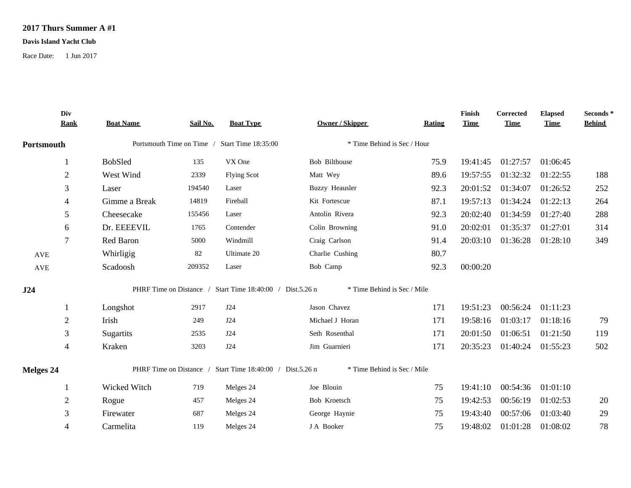## **2017 Thurs Summer A #1**

## **Davis Island Yacht Club**

Race Date: 1 Jun 2017

|            | Div<br><b>Rank</b> | <b>Boat Name</b> | Sail No. | <b>Boat Type</b>                                          | <b>Owner / Skipper</b>      | Rating | Finish<br><b>Time</b> | Corrected<br><b>Time</b> | <b>Elapsed</b><br><b>Time</b> | Seconds *<br><b>Behind</b> |
|------------|--------------------|------------------|----------|-----------------------------------------------------------|-----------------------------|--------|-----------------------|--------------------------|-------------------------------|----------------------------|
| Portsmouth |                    |                  |          | Portsmouth Time on Time / Start Time 18:35:00             | * Time Behind is Sec / Hour |        |                       |                          |                               |                            |
|            |                    | BobSled          | 135      | VX One                                                    | Bob Bilthouse               | 75.9   | 19:41:45              | 01:27:57                 | 01:06:45                      |                            |
|            | $\boldsymbol{2}$   | West Wind        | 2339     | <b>Flying Scot</b>                                        | Matt Wey                    | 89.6   | 19:57:55              | 01:32:32                 | 01:22:55                      | 188                        |
|            | 3                  | Laser            | 194540   | Laser                                                     | <b>Buzzy Heausler</b>       | 92.3   | 20:01:52              | 01:34:07                 | 01:26:52                      | 252                        |
|            | 4                  | Gimme a Break    | 14819    | Fireball                                                  | Kit Fortescue               | 87.1   | 19:57:13              | 01:34:24                 | 01:22:13                      | 264                        |
|            | 5                  | Cheesecake       | 155456   | Laser                                                     | Antolin Rivera              | 92.3   | 20:02:40              | 01:34:59                 | 01:27:40                      | 288                        |
|            | 6                  | Dr. EEEEVIL      | 1765     | Contender                                                 | Colin Browning              | 91.0   | 20:02:01              | 01:35:37                 | 01:27:01                      | 314                        |
|            | 7                  | Red Baron        | 5000     | Windmill                                                  | Craig Carlson               | 91.4   | 20:03:10              | 01:36:28                 | 01:28:10                      | 349                        |
| <b>AVE</b> |                    | Whirligig        | 82       | Ultimate 20                                               | Charlie Cushing             | 80.7   |                       |                          |                               |                            |
| <b>AVE</b> |                    | Scadoosh         | 209352   | Laser                                                     | Bob Camp                    | 92.3   | 00:00:20              |                          |                               |                            |
| J24        |                    |                  |          | PHRF Time on Distance / Start Time 18:40:00 / Dist.5.26 n | * Time Behind is Sec / Mile |        |                       |                          |                               |                            |
|            |                    | Longshot         | 2917     | <b>J24</b>                                                | Jason Chavez                | 171    | 19:51:23              | 00:56:24                 | 01:11:23                      |                            |
|            | $\overline{2}$     | Irish            | 249      | J24                                                       | Michael J Horan             | 171    | 19:58:16              | 01:03:17                 | 01:18:16                      | 79                         |
|            | 3                  | Sugartits        | 2535     | J24                                                       | Seth Rosenthal              | 171    | 20:01:50              | 01:06:51                 | 01:21:50                      | 119                        |
|            | $\overline{4}$     | Kraken           | 3203     | J24                                                       | Jim Guarnieri               | 171    | 20:35:23              | 01:40:24 01:55:23        |                               | 502                        |
| Melges 24  |                    |                  |          | PHRF Time on Distance / Start Time 18:40:00 / Dist.5.26 n | * Time Behind is Sec / Mile |        |                       |                          |                               |                            |
|            |                    | Wicked Witch     | 719      | Melges 24                                                 | Joe Blouin                  | 75     | 19:41:10              | 00:54:36                 | 01:01:10                      |                            |
|            | $\overline{2}$     | Rogue            | 457      | Melges 24                                                 | Bob Kroetsch                | 75     | 19:42:53              | 00:56:19                 | 01:02:53                      | 20                         |
|            | 3                  | Firewater        | 687      | Melges 24                                                 | George Haynie               | 75     | 19:43:40              | 00:57:06                 | 01:03:40                      | 29                         |
|            | 4                  | Carmelita        | 119      | Melges 24                                                 | J A Booker                  | 75     | 19:48:02              | 01:01:28                 | 01:08:02                      | 78                         |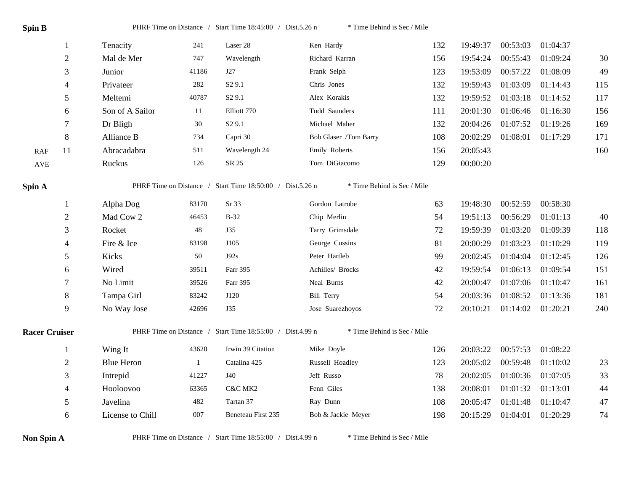| Spin B               |                  | * Time Behind is Sec / Mile<br>PHRF Time on Distance / Start Time 18:45:00 / Dist.5.26 n |              |                    |                       |     |          |                   |          |     |  |  |  |
|----------------------|------------------|------------------------------------------------------------------------------------------|--------------|--------------------|-----------------------|-----|----------|-------------------|----------|-----|--|--|--|
|                      |                  | Tenacity                                                                                 | 241          | Laser 28           | Ken Hardy             | 132 | 19:49:37 | 00:53:03          | 01:04:37 |     |  |  |  |
|                      | $\boldsymbol{2}$ | Mal de Mer                                                                               | 747          | Wavelength         | Richard Karran        | 156 | 19:54:24 | 00:55:43          | 01:09:24 | 30  |  |  |  |
|                      | 3                | Junior                                                                                   | 41186        | J27                | Frank Selph           | 123 | 19:53:09 | 00:57:22          | 01:08:09 | 49  |  |  |  |
|                      | 4                | Privateer                                                                                | 282          | S <sub>2</sub> 9.1 | Chris Jones           | 132 | 19:59:43 | 01:03:09          | 01:14:43 | 115 |  |  |  |
|                      | 5                | Meltemi                                                                                  | 40787        | S <sub>2</sub> 9.1 | Alex Korakis          | 132 | 19:59:52 | 01:03:18          | 01:14:52 | 117 |  |  |  |
|                      | 6                | Son of A Sailor                                                                          | -11          | Elliott 770        | Todd Saunders         | 111 | 20:01:30 | 01:06:46          | 01:16:30 | 156 |  |  |  |
|                      | $\tau$           | Dr Bligh                                                                                 | 30           | S <sub>2</sub> 9.1 | Michael Maher         | 132 | 20:04:26 | 01:07:52          | 01:19:26 | 169 |  |  |  |
|                      | 8                | Alliance B                                                                               | 734          | Capri 30           | Bob Glaser /Tom Barry | 108 | 20:02:29 | 01:08:01          | 01:17:29 | 171 |  |  |  |
| <b>RAF</b>           | 11               | Abracadabra                                                                              | 511          | Wavelength 24      | Emily Roberts         | 156 | 20:05:43 |                   |          | 160 |  |  |  |
| $\operatorname{AVE}$ |                  | Ruckus                                                                                   | 126          | SR 25              | Tom DiGiacomo         | 129 | 00:00:20 |                   |          |     |  |  |  |
| Spin A               |                  | PHRF Time on Distance / Start Time 18:50:00 / Dist.5.26 n<br>* Time Behind is Sec / Mile |              |                    |                       |     |          |                   |          |     |  |  |  |
|                      |                  | Alpha Dog                                                                                | 83170        | Sr 33              | Gordon Latrobe        | 63  | 19:48:30 | 00:52:59          | 00:58:30 |     |  |  |  |
|                      | $\overline{2}$   | Mad Cow 2                                                                                | 46453        | $B-32$             | Chip Merlin           | 54  | 19:51:13 | 00:56:29          | 01:01:13 | 40  |  |  |  |
|                      | 3                | Rocket                                                                                   | 48           | J35                | Tarry Grimsdale       | 72  | 19:59:39 | 01:03:20          | 01:09:39 | 118 |  |  |  |
|                      | 4                | Fire & Ice                                                                               | 83198        | J105               | George Cussins        | 81  | 20:00:29 | 01:03:23          | 01:10:29 | 119 |  |  |  |
|                      | 5                | Kicks                                                                                    | 50           | J92s               | Peter Hartleb         | 99  | 20:02:45 | 01:04:04          | 01:12:45 | 126 |  |  |  |
|                      | 6                | Wired                                                                                    | 39511        | Farr 395           | Achilles/ Brocks      | 42  | 19:59:54 | 01:06:13          | 01:09:54 | 151 |  |  |  |
|                      | $\tau$           | No Limit                                                                                 | 39526        | Farr 395           | Neal Burns            | 42  | 20:00:47 | 01:07:06          | 01:10:47 | 161 |  |  |  |
|                      | $\,8\,$          | Tampa Girl                                                                               | 83242        | J120               | <b>Bill Terry</b>     | 54  | 20:03:36 | 01:08:52          | 01:13:36 | 181 |  |  |  |
|                      | 9                | No Way Jose                                                                              | 42696        | J35                | Jose Suarezhoyos      | 72  | 20:10:21 | 01:14:02 01:20:21 |          | 240 |  |  |  |
| <b>Racer Cruiser</b> |                  | PHRF Time on Distance / Start Time 18:55:00 / Dist.4.99 n<br>* Time Behind is Sec / Mile |              |                    |                       |     |          |                   |          |     |  |  |  |
|                      | $\mathbf{1}$     | Wing It                                                                                  | 43620        | Irwin 39 Citation  | Mike Doyle            | 126 | 20:03:22 | 00:57:53          | 01:08:22 |     |  |  |  |
|                      | $\overline{2}$   | <b>Blue Heron</b>                                                                        | $\mathbf{1}$ | Catalina 425       | Russell Hoadley       | 123 | 20:05:02 | 00:59:48          | 01:10:02 | 23  |  |  |  |
|                      | 3                | Intrepid                                                                                 | 41227        | J40                | Jeff Russo            | 78  | 20:02:05 | 01:00:36 01:07:05 |          | 33  |  |  |  |
|                      |                  | Hooloovoo                                                                                | 63365        | C&C MK2            | Fenn Giles            | 138 | 20:08:01 | 01:01:32 01:13:01 |          | 44  |  |  |  |
|                      | 4                |                                                                                          |              |                    |                       |     |          |                   |          |     |  |  |  |
|                      | 5                | Javelina                                                                                 | 482          | Tartan 37          | Ray Dunn              | 108 | 20:05:47 | 01:01:48          | 01:10:47 | 47  |  |  |  |